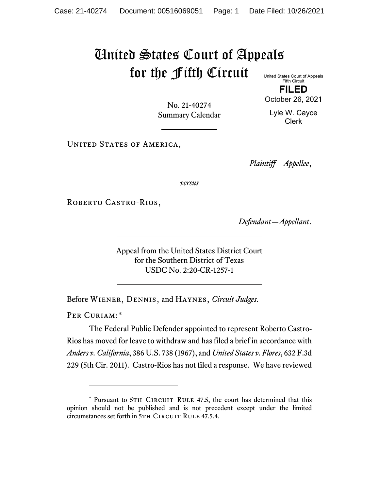## United States Court of Appeals for the Fifth Circuit United States Court of Appeals

Fifth Circuit **FILED**

No. 21-40274 Summary Calendar October 26, 2021 Lyle W. Cayce

Clerk

UNITED STATES OF AMERICA,

*Plaintiff—Appellee*,

*versus*

ROBERTO CASTRO-RIOS,

*Defendant—Appellant*.

Appeal from the United States District Court for the Southern District of Texas USDC No. 2:20-CR-1257-1

Before Wiener, Dennis, and Haynes, *Circuit Judges*.

PER CURIAM:[\\*](#page-0-0)

The Federal Public Defender appointed to represent Roberto Castro-Rios has moved for leave to withdraw and has filed a brief in accordance with *Anders v. California*, 386 U.S. 738 (1967), and *United States v. Flores*, 632 F.3d 229 (5th Cir. 2011). Castro-Rios has not filed a response. We have reviewed

<span id="page-0-0"></span><sup>\*</sup> Pursuant to 5TH CIRCUIT RULE 47.5, the court has determined that this opinion should not be published and is not precedent except under the limited circumstances set forth in 5TH CIRCUIT RULE 47.5.4.